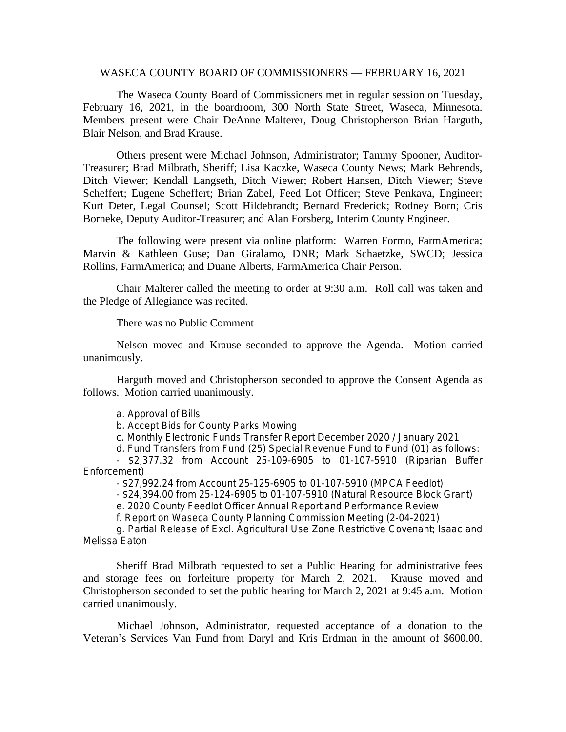#### WASECA COUNTY BOARD OF COMMISSIONERS — FEBRUARY 16, 2021

The Waseca County Board of Commissioners met in regular session on Tuesday, February 16, 2021, in the boardroom, 300 North State Street, Waseca, Minnesota. Members present were Chair DeAnne Malterer, Doug Christopherson Brian Harguth, Blair Nelson, and Brad Krause.

Others present were Michael Johnson, Administrator; Tammy Spooner, Auditor-Treasurer; Brad Milbrath, Sheriff; Lisa Kaczke, Waseca County News; Mark Behrends, Ditch Viewer; Kendall Langseth, Ditch Viewer; Robert Hansen, Ditch Viewer; Steve Scheffert; Eugene Scheffert; Brian Zabel, Feed Lot Officer; Steve Penkava, Engineer; Kurt Deter, Legal Counsel; Scott Hildebrandt; Bernard Frederick; Rodney Born; Cris Borneke, Deputy Auditor-Treasurer; and Alan Forsberg, Interim County Engineer.

The following were present via online platform: Warren Formo, FarmAmerica; Marvin & Kathleen Guse; Dan Giralamo, DNR; Mark Schaetzke, SWCD; Jessica Rollins, FarmAmerica; and Duane Alberts, FarmAmerica Chair Person.

Chair Malterer called the meeting to order at 9:30 a.m. Roll call was taken and the Pledge of Allegiance was recited.

There was no Public Comment

Nelson moved and Krause seconded to approve the Agenda. Motion carried unanimously.

Harguth moved and Christopherson seconded to approve the Consent Agenda as follows. Motion carried unanimously.

a. Approval of Bills

b. Accept Bids for County Parks Mowing

c. Monthly Electronic Funds Transfer Report December 2020 / January 2021

d. Fund Transfers from Fund (25) Special Revenue Fund to Fund (01) as follows:

- \$2,377.32 from Account 25-109-6905 to 01-107-5910 (Riparian Buffer Enforcement)

- \$27,992.24 from Account 25-125-6905 to 01-107-5910 (MPCA Feedlot)

- \$24,394.00 from 25-124-6905 to 01-107-5910 (Natural Resource Block Grant)

e. 2020 County Feedlot Officer Annual Report and Performance Review

f. Report on Waseca County Planning Commission Meeting (2-04-2021)

g. Partial Release of Excl. Agricultural Use Zone Restrictive Covenant; Isaac and Melissa Eaton

Sheriff Brad Milbrath requested to set a Public Hearing for administrative fees and storage fees on forfeiture property for March 2, 2021. Krause moved and Christopherson seconded to set the public hearing for March 2, 2021 at 9:45 a.m. Motion carried unanimously.

Michael Johnson, Administrator, requested acceptance of a donation to the Veteran's Services Van Fund from Daryl and Kris Erdman in the amount of \$600.00.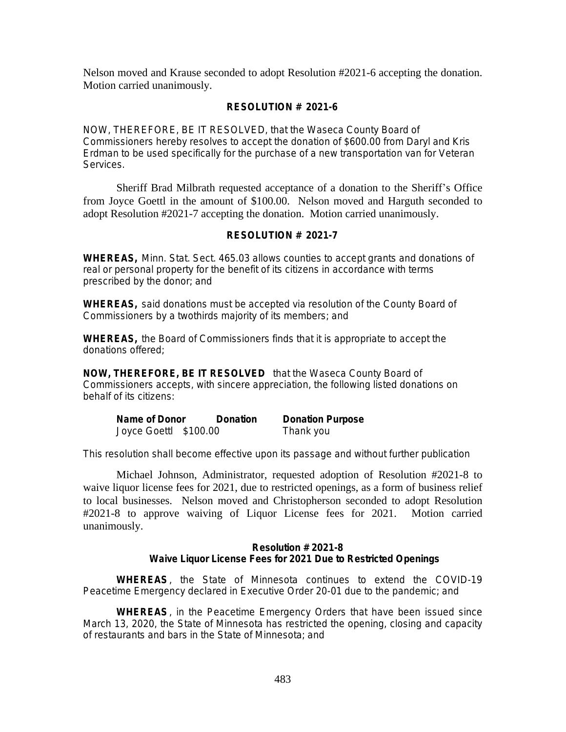Nelson moved and Krause seconded to adopt Resolution #2021-6 accepting the donation. Motion carried unanimously.

# **RESOLUTION # 2021-6**

NOW, THEREFORE, BE IT RESOLVED, that the Waseca County Board of Commissioners hereby resolves to accept the donation of \$600.00 from Daryl and Kris Erdman to be used specifically for the purchase of a new transportation van for Veteran Services.

Sheriff Brad Milbrath requested acceptance of a donation to the Sheriff's Office from Joyce Goettl in the amount of \$100.00. Nelson moved and Harguth seconded to adopt Resolution #2021-7 accepting the donation. Motion carried unanimously.

# **RESOLUTION # 2021-7**

**WHEREAS,** Minn. Stat. Sect. 465.03 allows counties to accept grants and donations of real or personal property for the benefit of its citizens in accordance with terms prescribed by the donor; and

**WHEREAS,** said donations must be accepted via resolution of the County Board of Commissioners by a twothirds majority of its members; and

**WHEREAS,** the Board of Commissioners finds that it is appropriate to accept the donations offered;

**NOW, THEREFORE, BE IT RESOLVED** that the Waseca County Board of Commissioners accepts, with sincere appreciation, the following listed donations on behalf of its citizens:

| Name of Donor         | Donation | <b>Donation Purpose</b> |
|-----------------------|----------|-------------------------|
| Joyce Goettl \$100.00 |          | Thank you               |

This resolution shall become effective upon its passage and without further publication

Michael Johnson, Administrator, requested adoption of Resolution #2021-8 to waive liquor license fees for 2021, due to restricted openings, as a form of business relief to local businesses. Nelson moved and Christopherson seconded to adopt Resolution #2021-8 to approve waiving of Liquor License fees for 2021. Motion carried unanimously.

# **Resolution # 2021-8 Waive Liquor License Fees for 2021 Due to Restricted Openings**

**WHEREAS**, the State of Minnesota continues to extend the COVID-19 Peacetime Emergency declared in Executive Order 20-01 due to the pandemic; and

**WHEREAS**, in the Peacetime Emergency Orders that have been issued since March 13, 2020, the State of Minnesota has restricted the opening, closing and capacity of restaurants and bars in the State of Minnesota; and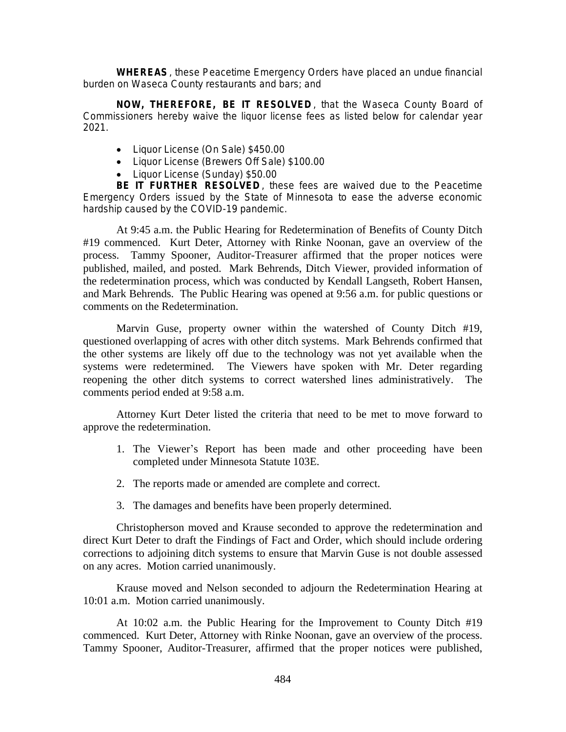**WHEREAS**, these Peacetime Emergency Orders have placed an undue financial burden on Waseca County restaurants and bars; and

**NOW, THEREFORE, BE IT RESOLVED** , that the Waseca County Board of Commissioners hereby waive the liquor license fees as listed below for calendar year 2021.

- Liquor License (On Sale) \$450.00
- Liquor License (Brewers Off Sale) \$100.00
- Liquor License (Sunday) \$50.00

**BE IT FURTHER RESOLVED** , these fees are waived due to the Peacetime Emergency Orders issued by the State of Minnesota to ease the adverse economic hardship caused by the COVID-19 pandemic.

At 9:45 a.m. the Public Hearing for Redetermination of Benefits of County Ditch #19 commenced. Kurt Deter, Attorney with Rinke Noonan, gave an overview of the process. Tammy Spooner, Auditor-Treasurer affirmed that the proper notices were published, mailed, and posted. Mark Behrends, Ditch Viewer, provided information of the redetermination process, which was conducted by Kendall Langseth, Robert Hansen, and Mark Behrends. The Public Hearing was opened at 9:56 a.m. for public questions or comments on the Redetermination.

Marvin Guse, property owner within the watershed of County Ditch #19, questioned overlapping of acres with other ditch systems. Mark Behrends confirmed that the other systems are likely off due to the technology was not yet available when the systems were redetermined. The Viewers have spoken with Mr. Deter regarding reopening the other ditch systems to correct watershed lines administratively. The comments period ended at 9:58 a.m.

Attorney Kurt Deter listed the criteria that need to be met to move forward to approve the redetermination.

- 1. The Viewer's Report has been made and other proceeding have been completed under Minnesota Statute 103E.
- 2. The reports made or amended are complete and correct.
- 3. The damages and benefits have been properly determined.

Christopherson moved and Krause seconded to approve the redetermination and direct Kurt Deter to draft the Findings of Fact and Order, which should include ordering corrections to adjoining ditch systems to ensure that Marvin Guse is not double assessed on any acres. Motion carried unanimously.

Krause moved and Nelson seconded to adjourn the Redetermination Hearing at 10:01 a.m. Motion carried unanimously.

At 10:02 a.m. the Public Hearing for the Improvement to County Ditch #19 commenced. Kurt Deter, Attorney with Rinke Noonan, gave an overview of the process. Tammy Spooner, Auditor-Treasurer, affirmed that the proper notices were published,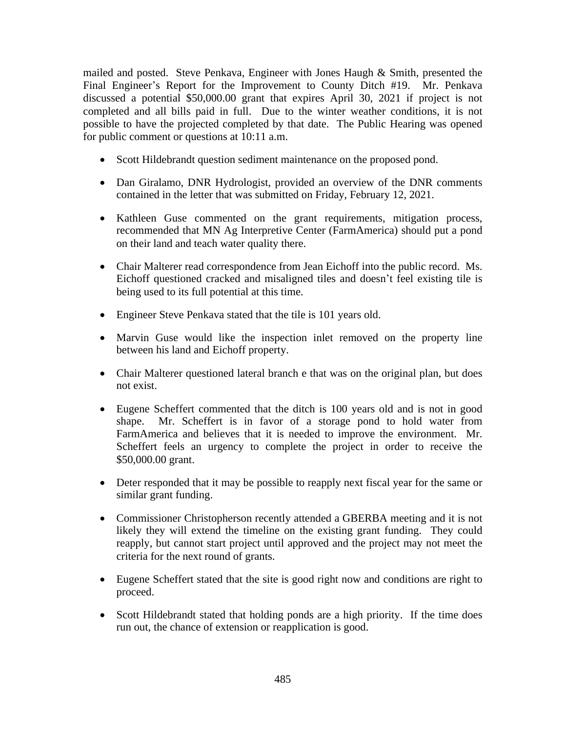mailed and posted. Steve Penkava, Engineer with Jones Haugh & Smith, presented the Final Engineer's Report for the Improvement to County Ditch #19. Mr. Penkava discussed a potential \$50,000.00 grant that expires April 30, 2021 if project is not completed and all bills paid in full. Due to the winter weather conditions, it is not possible to have the projected completed by that date. The Public Hearing was opened for public comment or questions at 10:11 a.m.

- Scott Hildebrandt question sediment maintenance on the proposed pond.
- Dan Giralamo, DNR Hydrologist, provided an overview of the DNR comments contained in the letter that was submitted on Friday, February 12, 2021.
- Kathleen Guse commented on the grant requirements, mitigation process, recommended that MN Ag Interpretive Center (FarmAmerica) should put a pond on their land and teach water quality there.
- Chair Malterer read correspondence from Jean Eichoff into the public record. Ms. Eichoff questioned cracked and misaligned tiles and doesn't feel existing tile is being used to its full potential at this time.
- Engineer Steve Penkava stated that the tile is 101 years old.
- Marvin Guse would like the inspection inlet removed on the property line between his land and Eichoff property.
- Chair Malterer questioned lateral branch e that was on the original plan, but does not exist.
- Eugene Scheffert commented that the ditch is 100 years old and is not in good shape. Mr. Scheffert is in favor of a storage pond to hold water from FarmAmerica and believes that it is needed to improve the environment. Mr. Scheffert feels an urgency to complete the project in order to receive the \$50,000.00 grant.
- Deter responded that it may be possible to reapply next fiscal year for the same or similar grant funding.
- Commissioner Christopherson recently attended a GBERBA meeting and it is not likely they will extend the timeline on the existing grant funding. They could reapply, but cannot start project until approved and the project may not meet the criteria for the next round of grants.
- Eugene Scheffert stated that the site is good right now and conditions are right to proceed.
- Scott Hildebrandt stated that holding ponds are a high priority. If the time does run out, the chance of extension or reapplication is good.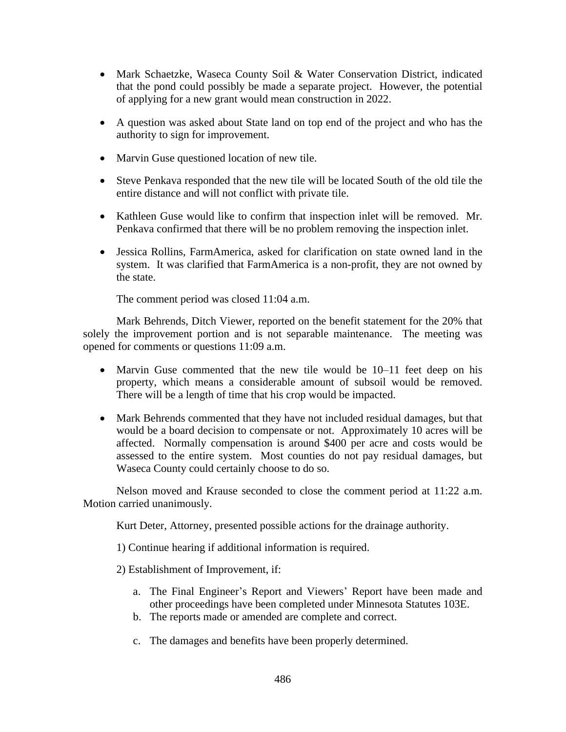- Mark Schaetzke, Waseca County Soil & Water Conservation District, indicated that the pond could possibly be made a separate project. However, the potential of applying for a new grant would mean construction in 2022.
- A question was asked about State land on top end of the project and who has the authority to sign for improvement.
- Marvin Guse questioned location of new tile.
- Steve Penkava responded that the new tile will be located South of the old tile the entire distance and will not conflict with private tile.
- Kathleen Guse would like to confirm that inspection inlet will be removed. Mr. Penkava confirmed that there will be no problem removing the inspection inlet.
- Jessica Rollins, FarmAmerica, asked for clarification on state owned land in the system. It was clarified that FarmAmerica is a non-profit, they are not owned by the state.

The comment period was closed 11:04 a.m.

Mark Behrends, Ditch Viewer, reported on the benefit statement for the 20% that solely the improvement portion and is not separable maintenance. The meeting was opened for comments or questions 11:09 a.m.

- Marvin Guse commented that the new tile would be 10–11 feet deep on his property, which means a considerable amount of subsoil would be removed. There will be a length of time that his crop would be impacted.
- Mark Behrends commented that they have not included residual damages, but that would be a board decision to compensate or not. Approximately 10 acres will be affected. Normally compensation is around \$400 per acre and costs would be assessed to the entire system. Most counties do not pay residual damages, but Waseca County could certainly choose to do so.

Nelson moved and Krause seconded to close the comment period at 11:22 a.m. Motion carried unanimously.

Kurt Deter, Attorney, presented possible actions for the drainage authority.

1) Continue hearing if additional information is required.

- 2) Establishment of Improvement, if:
	- a. The Final Engineer's Report and Viewers' Report have been made and other proceedings have been completed under Minnesota Statutes 103E.
	- b. The reports made or amended are complete and correct.
	- c. The damages and benefits have been properly determined.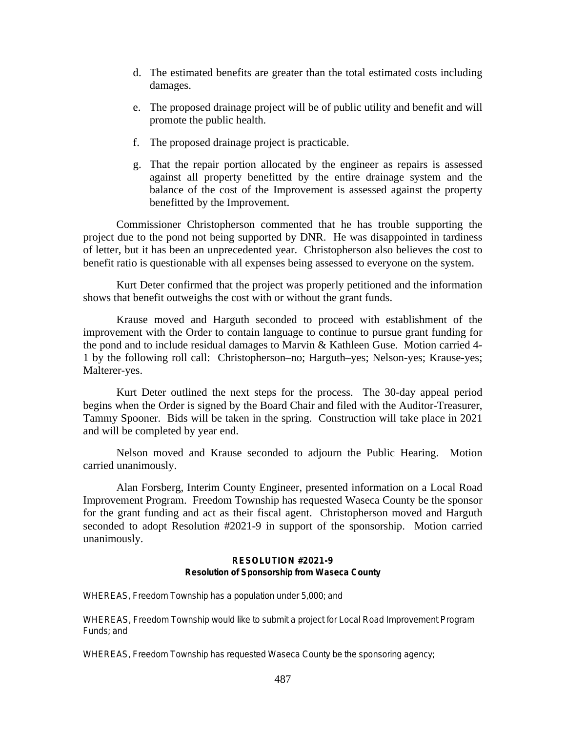- d. The estimated benefits are greater than the total estimated costs including damages.
- e. The proposed drainage project will be of public utility and benefit and will promote the public health.
- f. The proposed drainage project is practicable.
- g. That the repair portion allocated by the engineer as repairs is assessed against all property benefitted by the entire drainage system and the balance of the cost of the Improvement is assessed against the property benefitted by the Improvement.

Commissioner Christopherson commented that he has trouble supporting the project due to the pond not being supported by DNR. He was disappointed in tardiness of letter, but it has been an unprecedented year. Christopherson also believes the cost to benefit ratio is questionable with all expenses being assessed to everyone on the system.

Kurt Deter confirmed that the project was properly petitioned and the information shows that benefit outweighs the cost with or without the grant funds.

Krause moved and Harguth seconded to proceed with establishment of the improvement with the Order to contain language to continue to pursue grant funding for the pond and to include residual damages to Marvin & Kathleen Guse. Motion carried 4- 1 by the following roll call: Christopherson–no; Harguth–yes; Nelson-yes; Krause-yes; Malterer-yes.

Kurt Deter outlined the next steps for the process. The 30-day appeal period begins when the Order is signed by the Board Chair and filed with the Auditor-Treasurer, Tammy Spooner. Bids will be taken in the spring. Construction will take place in 2021 and will be completed by year end.

Nelson moved and Krause seconded to adjourn the Public Hearing. Motion carried unanimously.

Alan Forsberg, Interim County Engineer, presented information on a Local Road Improvement Program. Freedom Township has requested Waseca County be the sponsor for the grant funding and act as their fiscal agent. Christopherson moved and Harguth seconded to adopt Resolution #2021-9 in support of the sponsorship. Motion carried unanimously.

# **RESOLUTION #2021-9 Resolution of Sponsorship from Waseca County**

WHEREAS, Freedom Township has a population under 5,000; and

WHEREAS, Freedom Township would like to submit a project for Local Road Improvement Program Funds; and

WHEREAS, Freedom Township has requested Waseca County be the sponsoring agency;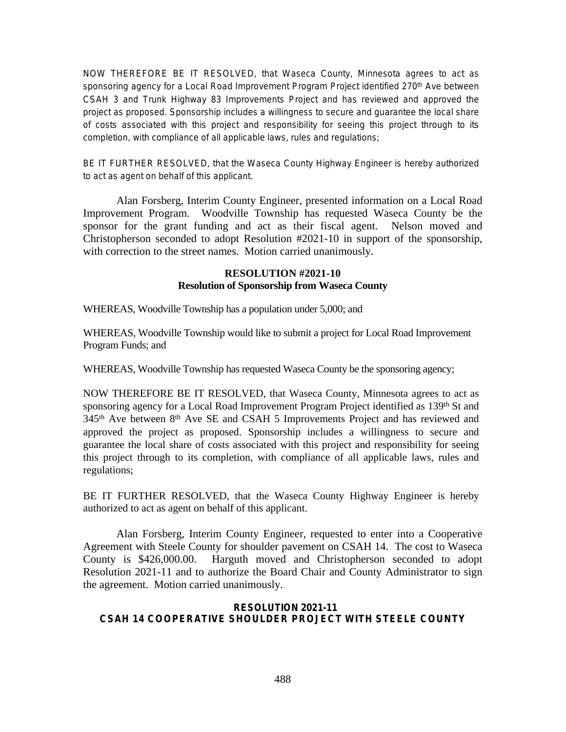NOW THEREFORE BE IT RESOLVED, that Waseca County, Minnesota agrees to act as sponsoring agency for a Local Road Improvement Program Project identified 270<sup>th</sup> Ave between CSAH 3 and Trunk Highway 83 Improvements Project and has reviewed and approved the project as proposed. Sponsorship includes a willingness to secure and guarantee the local share of costs associated with this project and responsibility for seeing this project through to its completion, with compliance of all applicable laws, rules and regulations;

BE IT FURTHER RESOLVED, that the Waseca County Highway Engineer is hereby authorized to act as agent on behalf of this applicant.

Alan Forsberg, Interim County Engineer, presented information on a Local Road Improvement Program. Woodville Township has requested Waseca County be the sponsor for the grant funding and act as their fiscal agent. Nelson moved and Christopherson seconded to adopt Resolution #2021-10 in support of the sponsorship, with correction to the street names. Motion carried unanimously.

### **RESOLUTION #2021-10 Resolution of Sponsorship from Waseca County**

WHEREAS, Woodville Township has a population under 5,000; and

WHEREAS, Woodville Township would like to submit a project for Local Road Improvement Program Funds; and

WHEREAS, Woodville Township has requested Waseca County be the sponsoring agency;

NOW THEREFORE BE IT RESOLVED, that Waseca County, Minnesota agrees to act as sponsoring agency for a Local Road Improvement Program Project identified as 139<sup>th</sup> St and 345<sup>th</sup> Ave between 8<sup>th</sup> Ave SE and CSAH 5 Improvements Project and has reviewed and approved the project as proposed. Sponsorship includes a willingness to secure and guarantee the local share of costs associated with this project and responsibility for seeing this project through to its completion, with compliance of all applicable laws, rules and regulations;

BE IT FURTHER RESOLVED, that the Waseca County Highway Engineer is hereby authorized to act as agent on behalf of this applicant.

Alan Forsberg, Interim County Engineer, requested to enter into a Cooperative Agreement with Steele County for shoulder pavement on CSAH 14. The cost to Waseca County is \$426,000.00. Harguth moved and Christopherson seconded to adopt Resolution 2021-11 and to authorize the Board Chair and County Administrator to sign the agreement. Motion carried unanimously.

#### **RESOLUTION 2021-11 CSAH 14 COOPERATIVE SHOULDER PROJECT WITH STEELE COUNTY**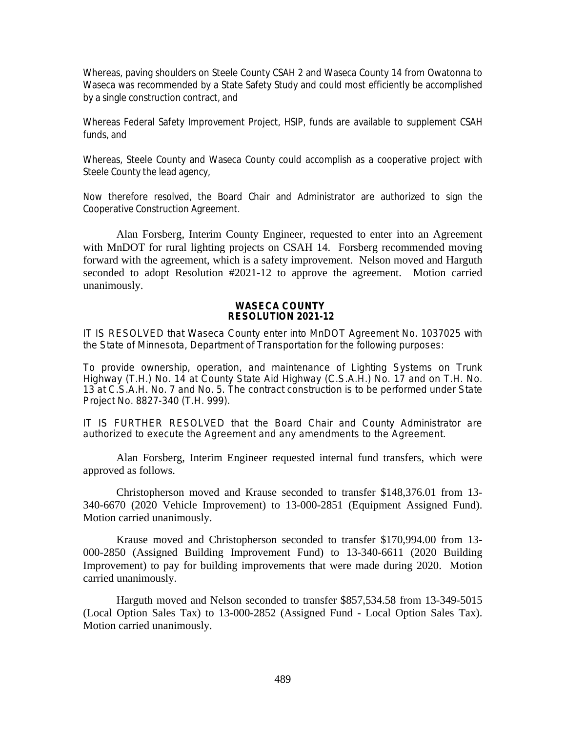Whereas, paving shoulders on Steele County CSAH 2 and Waseca County 14 from Owatonna to Waseca was recommended by a State Safety Study and could most efficiently be accomplished by a single construction contract, and

Whereas Federal Safety Improvement Project, HSIP, funds are available to supplement CSAH funds, and

Whereas, Steele County and Waseca County could accomplish as a cooperative project with Steele County the lead agency,

Now therefore resolved, the Board Chair and Administrator are authorized to sign the Cooperative Construction Agreement.

Alan Forsberg, Interim County Engineer, requested to enter into an Agreement with MnDOT for rural lighting projects on CSAH 14. Forsberg recommended moving forward with the agreement, which is a safety improvement. Nelson moved and Harguth seconded to adopt Resolution #2021-12 to approve the agreement. Motion carried unanimously.

#### **WASECA COUNTY RESOLUTION 2021-12**

IT IS RESOLVED that Waseca County enter into MnDOT Agreement No. 1037025 with the State of Minnesota, Department of Transportation for the following purposes:

To provide ownership, operation, and maintenance of Lighting Systems on Trunk Highway (T.H.) No. 14 at County State Aid Highway (C.S.A.H.) No. 17 and on T.H. No. 13 at C.S.A.H. No. 7 and No. 5. The contract construction is to be performed under State Project No. 8827-340 (T.H. 999).

IT IS FURTHER RESOLVED that the Board Chair and County Administrator are authorized to execute the Agreement and any amendments to the Agreement.

Alan Forsberg, Interim Engineer requested internal fund transfers, which were approved as follows.

Christopherson moved and Krause seconded to transfer \$148,376.01 from 13- 340-6670 (2020 Vehicle Improvement) to 13-000-2851 (Equipment Assigned Fund). Motion carried unanimously.

Krause moved and Christopherson seconded to transfer \$170,994.00 from 13- 000-2850 (Assigned Building Improvement Fund) to 13-340-6611 (2020 Building Improvement) to pay for building improvements that were made during 2020. Motion carried unanimously.

Harguth moved and Nelson seconded to transfer \$857,534.58 from 13-349-5015 (Local Option Sales Tax) to 13-000-2852 (Assigned Fund - Local Option Sales Tax). Motion carried unanimously.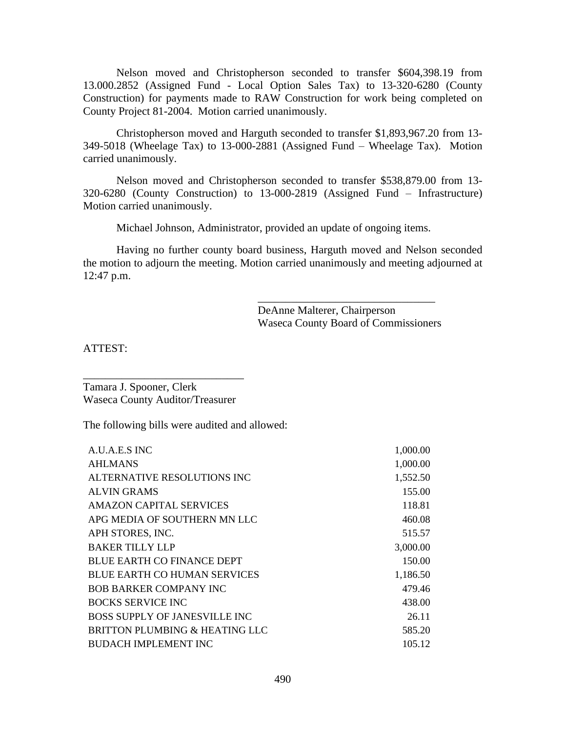Nelson moved and Christopherson seconded to transfer \$604,398.19 from 13.000.2852 (Assigned Fund - Local Option Sales Tax) to 13-320-6280 (County Construction) for payments made to RAW Construction for work being completed on County Project 81-2004. Motion carried unanimously.

Christopherson moved and Harguth seconded to transfer \$1,893,967.20 from 13- 349-5018 (Wheelage Tax) to 13-000-2881 (Assigned Fund – Wheelage Tax). Motion carried unanimously.

Nelson moved and Christopherson seconded to transfer \$538,879.00 from 13- 320-6280 (County Construction) to 13-000-2819 (Assigned Fund – Infrastructure) Motion carried unanimously.

Michael Johnson, Administrator, provided an update of ongoing items.

Having no further county board business, Harguth moved and Nelson seconded the motion to adjourn the meeting. Motion carried unanimously and meeting adjourned at 12:47 p.m.

> DeAnne Malterer, Chairperson Waseca County Board of Commissioners

\_\_\_\_\_\_\_\_\_\_\_\_\_\_\_\_\_\_\_\_\_\_\_\_\_\_\_\_\_\_\_\_

ATTEST:

Tamara J. Spooner, Clerk Waseca County Auditor/Treasurer

\_\_\_\_\_\_\_\_\_\_\_\_\_\_\_\_\_\_\_\_\_\_\_\_\_\_\_\_\_

The following bills were audited and allowed:

| A.U.A.E.S INC                        | 1,000.00 |
|--------------------------------------|----------|
| <b>AHLMANS</b>                       | 1,000.00 |
| ALTERNATIVE RESOLUTIONS INC          | 1,552.50 |
| <b>ALVIN GRAMS</b>                   | 155.00   |
| <b>AMAZON CAPITAL SERVICES</b>       | 118.81   |
| APG MEDIA OF SOUTHERN MN LLC         | 460.08   |
| APH STORES, INC.                     | 515.57   |
| BAKER TILLY LLP                      | 3,000.00 |
| <b>BLUE EARTH CO FINANCE DEPT</b>    | 150.00   |
| <b>BLUE EARTH CO HUMAN SERVICES</b>  | 1,186.50 |
| <b>BOB BARKER COMPANY INC</b>        | 479.46   |
| <b>BOCKS SERVICE INC</b>             | 438.00   |
| <b>BOSS SUPPLY OF JANESVILLE INC</b> | 26.11    |
| BRITTON PLUMBING & HEATING LLC       | 585.20   |
| <b>BUDACH IMPLEMENT INC</b>          | 105.12   |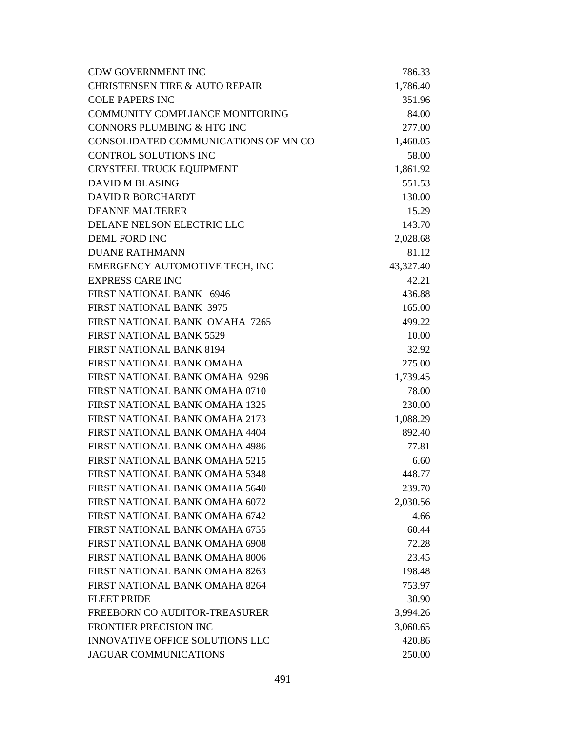| <b>CDW GOVERNMENT INC</b>                 | 786.33    |
|-------------------------------------------|-----------|
| <b>CHRISTENSEN TIRE &amp; AUTO REPAIR</b> | 1,786.40  |
| <b>COLE PAPERS INC</b>                    | 351.96    |
| COMMUNITY COMPLIANCE MONITORING           | 84.00     |
| CONNORS PLUMBING & HTG INC                | 277.00    |
| CONSOLIDATED COMMUNICATIONS OF MN CO      | 1,460.05  |
| <b>CONTROL SOLUTIONS INC</b>              | 58.00     |
| CRYSTEEL TRUCK EQUIPMENT                  | 1,861.92  |
| <b>DAVID M BLASING</b>                    | 551.53    |
| <b>DAVID R BORCHARDT</b>                  | 130.00    |
| <b>DEANNE MALTERER</b>                    | 15.29     |
| DELANE NELSON ELECTRIC LLC                | 143.70    |
| <b>DEML FORD INC</b>                      | 2,028.68  |
| <b>DUANE RATHMANN</b>                     | 81.12     |
| EMERGENCY AUTOMOTIVE TECH, INC            | 43,327.40 |
| <b>EXPRESS CARE INC</b>                   | 42.21     |
| FIRST NATIONAL BANK 6946                  | 436.88    |
| <b>FIRST NATIONAL BANK 3975</b>           | 165.00    |
| FIRST NATIONAL BANK OMAHA 7265            | 499.22    |
| <b>FIRST NATIONAL BANK 5529</b>           | 10.00     |
| <b>FIRST NATIONAL BANK 8194</b>           | 32.92     |
| FIRST NATIONAL BANK OMAHA                 | 275.00    |
| FIRST NATIONAL BANK OMAHA 9296            | 1,739.45  |
| FIRST NATIONAL BANK OMAHA 0710            | 78.00     |
| <b>FIRST NATIONAL BANK OMAHA 1325</b>     | 230.00    |
| FIRST NATIONAL BANK OMAHA 2173            | 1,088.29  |
| FIRST NATIONAL BANK OMAHA 4404            | 892.40    |
| FIRST NATIONAL BANK OMAHA 4986            | 77.81     |
| <b>FIRST NATIONAL BANK OMAHA 5215</b>     | 6.60      |
| FIRST NATIONAL BANK OMAHA 5348            | 448.77    |
| FIRST NATIONAL BANK OMAHA 5640            | 239.70    |
| FIRST NATIONAL BANK OMAHA 6072            | 2,030.56  |
| FIRST NATIONAL BANK OMAHA 6742            | 4.66      |
| FIRST NATIONAL BANK OMAHA 6755            | 60.44     |
| FIRST NATIONAL BANK OMAHA 6908            | 72.28     |
| FIRST NATIONAL BANK OMAHA 8006            | 23.45     |
| FIRST NATIONAL BANK OMAHA 8263            | 198.48    |
| FIRST NATIONAL BANK OMAHA 8264            | 753.97    |
| <b>FLEET PRIDE</b>                        | 30.90     |
| FREEBORN CO AUDITOR-TREASURER             | 3,994.26  |
| FRONTIER PRECISION INC                    | 3,060.65  |
| <b>INNOVATIVE OFFICE SOLUTIONS LLC</b>    | 420.86    |
| <b>JAGUAR COMMUNICATIONS</b>              | 250.00    |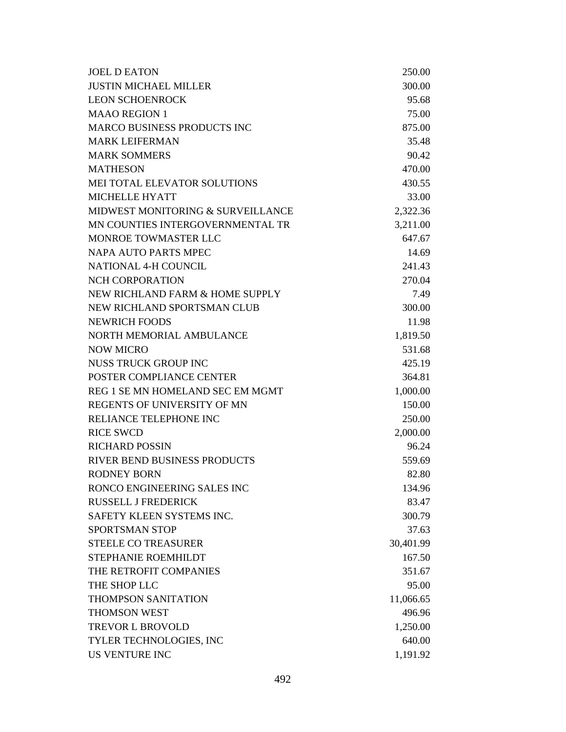| <b>JOEL D EATON</b>                 | 250.00    |
|-------------------------------------|-----------|
| <b>JUSTIN MICHAEL MILLER</b>        | 300.00    |
| <b>LEON SCHOENROCK</b>              | 95.68     |
| <b>MAAO REGION 1</b>                | 75.00     |
| <b>MARCO BUSINESS PRODUCTS INC</b>  | 875.00    |
| <b>MARK LEIFERMAN</b>               | 35.48     |
| <b>MARK SOMMERS</b>                 | 90.42     |
| <b>MATHESON</b>                     | 470.00    |
| MEI TOTAL ELEVATOR SOLUTIONS        | 430.55    |
| <b>MICHELLE HYATT</b>               | 33.00     |
| MIDWEST MONITORING & SURVEILLANCE   | 2,322.36  |
| MN COUNTIES INTERGOVERNMENTAL TR    | 3,211.00  |
| <b>MONROE TOWMASTER LLC</b>         | 647.67    |
| <b>NAPA AUTO PARTS MPEC</b>         | 14.69     |
| <b>NATIONAL 4-H COUNCIL</b>         | 241.43    |
| NCH CORPORATION                     | 270.04    |
| NEW RICHLAND FARM & HOME SUPPLY     | 7.49      |
| NEW RICHLAND SPORTSMAN CLUB         | 300.00    |
| <b>NEWRICH FOODS</b>                | 11.98     |
| NORTH MEMORIAL AMBULANCE            | 1,819.50  |
| <b>NOW MICRO</b>                    | 531.68    |
| <b>NUSS TRUCK GROUP INC</b>         | 425.19    |
| POSTER COMPLIANCE CENTER            | 364.81    |
| REG 1 SE MN HOMELAND SEC EM MGMT    | 1,000.00  |
| REGENTS OF UNIVERSITY OF MN         | 150.00    |
| RELIANCE TELEPHONE INC              | 250.00    |
| <b>RICE SWCD</b>                    | 2,000.00  |
| <b>RICHARD POSSIN</b>               | 96.24     |
| <b>RIVER BEND BUSINESS PRODUCTS</b> | 559.69    |
| <b>RODNEY BORN</b>                  | 82.80     |
| RONCO ENGINEERING SALES INC         | 134.96    |
| <b>RUSSELL J FREDERICK</b>          | 83.47     |
| SAFETY KLEEN SYSTEMS INC.           | 300.79    |
| <b>SPORTSMAN STOP</b>               | 37.63     |
| <b>STEELE CO TREASURER</b>          | 30,401.99 |
| STEPHANIE ROEMHILDT                 | 167.50    |
| THE RETROFIT COMPANIES              | 351.67    |
| THE SHOP LLC                        | 95.00     |
| <b>THOMPSON SANITATION</b>          | 11,066.65 |
| <b>THOMSON WEST</b>                 | 496.96    |
| <b>TREVOR L BROVOLD</b>             | 1,250.00  |
| TYLER TECHNOLOGIES, INC             | 640.00    |
| <b>US VENTURE INC</b>               | 1,191.92  |